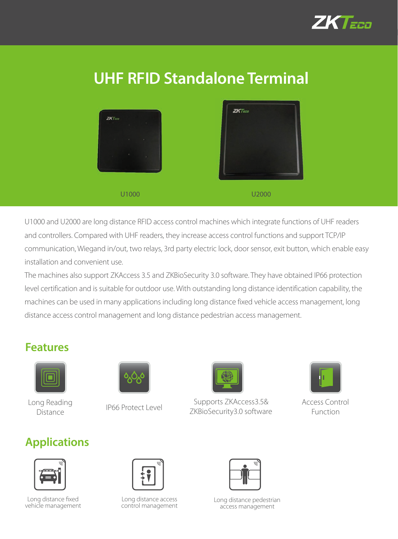

# **UHF RFID Standalone Terminal**

| $ZKT$ mo<br><b>The Windows</b><br>Control of the Control of Ar-<br><b>Sales Mary</b><br>$\lambda$ | $ZKT$ nco<br>____ |
|---------------------------------------------------------------------------------------------------|-------------------|
| U1000                                                                                             | U2000             |

U1000 and U2000 are long distance RFID access control machines which integrate functions of UHF readers and controllers. Compared with UHF readers, they increase access control functions and support TCP/IP communication, Wiegand in/out, two relays, 3rd party electric lock, door sensor, exit button, which enable easy installation and convenient use.

The machines also support ZKAccess 3.5 and ZKBioSecurity 3.0 software. They have obtained IP66 protection level certification and is suitable for outdoor use. With outstanding long distance identification capability, the machines can be used in many applications including long distance fixed vehicle access management, long distance access control management and long distance pedestrian access management.

#### **Features**



Long Reading Distance





Supports ZKAccess3.5& Access Control<br>
TKRIOSecurity3.0 software Eunction ZKBioSecurity3.0 software



Function

### **Applications**



Long distance fixed vehicle management



Long distance access control management



Long distance pedestrian access management